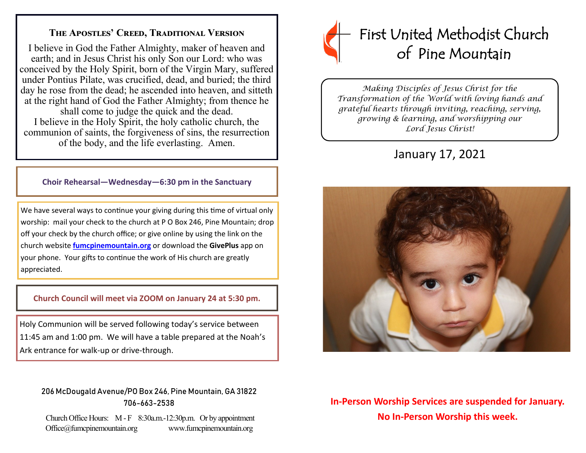### **The Apostles' Creed, Traditional Version**

I believe in God the Father Almighty, maker of heaven and earth; and in Jesus Christ his only Son our Lord: who was conceived by the Holy Spirit, born of the Virgin Mary, suffered under Pontius Pilate, was crucified, dead, and buried; the third day he rose from the dead; he ascended into heaven, and sitteth at the right hand of God the Father Almighty; from thence he shall come to judge the quick and the dead. I believe in the Holy Spirit, the holy catholic church, the communion of saints, the forgiveness of sins, the resurrection of the body, and the life everlasting. Amen.

#### **Choir Rehearsal—Wednesday—6:30 pm in the Sanctuary**

We have several ways to continue your giving during this time of virtual only worship: mail your check to the church at P O Box 246, Pine Mountain; drop off your check by the church office; or give online by using the link on the church website **[fumcpinemountain.org](http://fumcpinemountain.org/)** or download the **GivePlus** app on your phone. Your gifts to continue the work of His church are greatly appreciated.

#### **Church Council will meet via ZOOM on January 24 at 5:30 pm.**

Holy Communion will be served following today's service between 11:45 am and 1:00 pm. We will have a table prepared at the Noah's Ark entrance for walk-up or drive-through.

### 206 McDougald Avenue/PO Box 246, Pine Mountain, GA 31822 706-663-2538

Church Office Hours: M - F 8:30a.m.-12:30p.m. Or by appointment Office@fumcpinemountain.org www.fumcpinemountain.org



*Making Disciples of Jesus Christ for the Transformation of the World with loving hands and grateful hearts through inviting, reaching, serving, growing & learning, and worshipping our Lord Jesus Christ!* 

# January 17, 2021



# **In-Person Worship Services are suspended for January. No In-Person Worship this week.**